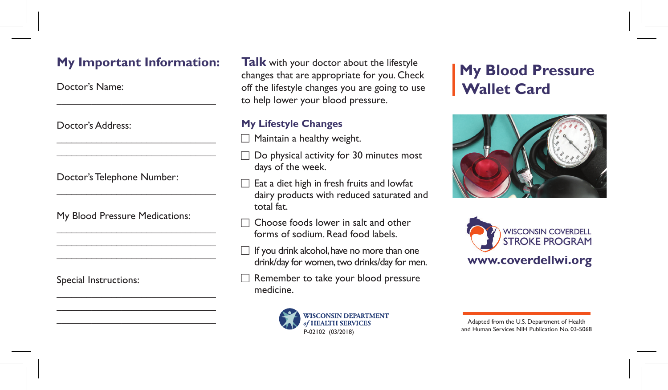## **My Important Information:**

 $\mathcal{L}_\mathcal{L}$  , and the set of the set of the set of the set of the set of the set of the set of the set of the set of the set of the set of the set of the set of the set of the set of the set of the set of the set of th

 $\mathcal{L}_\mathcal{L}$  , and the set of the set of the set of the set of the set of the set of the set of the set of the set of the set of the set of the set of the set of the set of the set of the set of the set of the set of th  $\mathcal{L}_\mathcal{L}$  , and the set of the set of the set of the set of the set of the set of the set of the set of the set of the set of the set of the set of the set of the set of the set of the set of the set of the set of th

 $\mathcal{L}_\mathcal{L}$  , and the set of the set of the set of the set of the set of the set of the set of the set of the set of the set of the set of the set of the set of the set of the set of the set of the set of the set of th

 $\mathcal{L}_\mathcal{L}$  , and the set of the set of the set of the set of the set of the set of the set of the set of the set of the set of the set of the set of the set of the set of the set of the set of the set of the set of th  $\mathcal{L}_\mathcal{L}$  , where  $\mathcal{L}_\mathcal{L}$  is the set of the set of the set of the set of the set of the set of the set of the set of the set of the set of the set of the set of the set of the set of the set of the set of the  $\mathcal{L}_\mathcal{L}$  , and the set of the set of the set of the set of the set of the set of the set of the set of the set of the set of the set of the set of the set of the set of the set of the set of the set of the set of th

 $\mathcal{L}_\mathcal{L}$  , and the set of the set of the set of the set of the set of the set of the set of the set of the set of the set of the set of the set of the set of the set of the set of the set of the set of the set of th  $\mathcal{L}_\mathcal{L}$  , and the set of the set of the set of the set of the set of the set of the set of the set of the set of the set of the set of the set of the set of the set of the set of the set of the set of the set of th  $\mathcal{L}_\mathcal{L}$  , where  $\mathcal{L}_\mathcal{L}$  is the set of the set of the set of the set of the set of the set of the set of the set of the set of the set of the set of the set of the set of the set of the set of the set of the

Doctor's Name:

Doctor's Address:

Doctor's Telephone Number:

My Blood Pressure Medications:

Special Instructions:

**Talk** with your doctor about the lifestyle changes that are appropriate for you. Check off the lifestyle changes you are going to use to help lower your blood pressure.

## **My Lifestyle Changes**

- Maintain a healthy weight.
- $\square$  Do physical activity for 30 minutes most days of the week.
- Eat a diet high in fresh fruits and lowfat dairy products with reduced saturated and total fat.
- □ Choose foods lower in salt and other forms of sodium. Read food labels.
- $\Box$  If you drink alcohol, have no more than one drink/day for women, two drinks/day for men.
- Remember to take your blood pressure medicine.



## **My Blood Pressure Wallet Card**





Adapted from the U.S. Department of Health and Human Services NIH Publication No. 03-5068